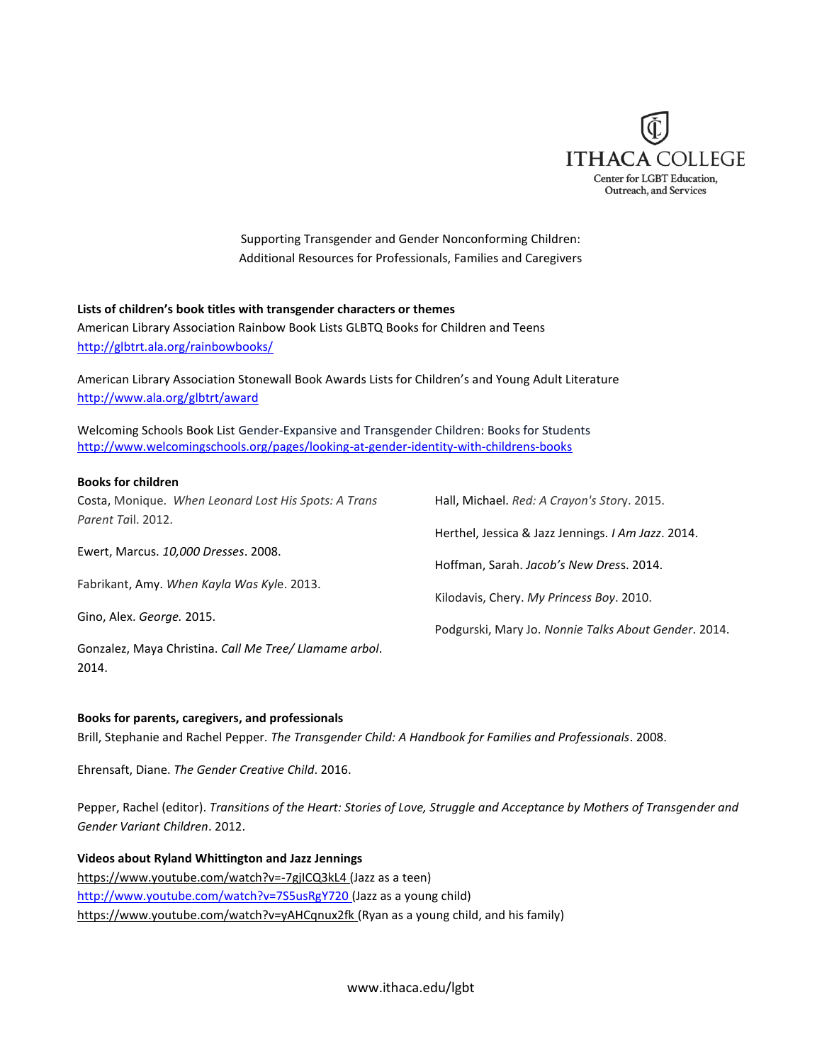

Supporting Transgender and Gender Nonconforming Children: Additional Resources for Professionals, Families and Caregivers

#### **Lists of children's book titles with transgender characters or themes**

American Library Association Rainbow Book Lists GLBTQ Books for Children and Teens <http://glbtrt.ala.org/rainbowbooks/>

American Library Association Stonewall Book Awards Lists for Children's and Young Adult Literature <http://www.ala.org/glbtrt/award>

Welcoming Schools Book List Gender-Expansive and Transgender Children: Books for Students <http://www.welcomingschools.org/pages/looking-at-gender-identity-with-childrens-books>

#### **Books for children**

2014.

| Costa, Monique. When Leonard Lost His Spots: A Trans   | Hall, Michael. Red: A Crayon's Story. 2015.          |
|--------------------------------------------------------|------------------------------------------------------|
| Parent Tail. 2012.                                     |                                                      |
|                                                        | Herthel, Jessica & Jazz Jennings. I Am Jazz. 2014.   |
| Ewert, Marcus. 10,000 Dresses. 2008.                   |                                                      |
|                                                        | Hoffman, Sarah. Jacob's New Dress. 2014.             |
| Fabrikant, Amy. When Kayla Was Kyle. 2013.             |                                                      |
|                                                        | Kilodavis, Chery. My Princess Boy. 2010.             |
| Gino, Alex. George. 2015.                              |                                                      |
|                                                        | Podgurski, Mary Jo. Nonnie Talks About Gender. 2014. |
| Gonzalez, Maya Christina. Call Me Tree/ Llamame arbol. |                                                      |

#### **Books for parents, caregivers, and professionals**

Brill, Stephanie and Rachel Pepper. *The Transgender Child: A Handbook for Families and Professionals*. 2008.

Ehrensaft, Diane. *The Gender Creative Child*. 2016.

Pepper, Rachel (editor). *Transitions of the Heart: Stories of Love, Struggle and Acceptance by Mothers of Transgender and Gender Variant Children*. 2012.

**Videos about Ryland Whittington and Jazz Jennings** <https://www.youtube.com/watch?v=-7gjICQ3kL4> (Jazz as a teen) <http://www.youtube.com/watch?v=7S5usRgY720> (Jazz as a young child) <https://www.youtube.com/watch?v=yAHCqnux2fk> (Ryan as a young child, and his family)

www.ithaca.edu/lgbt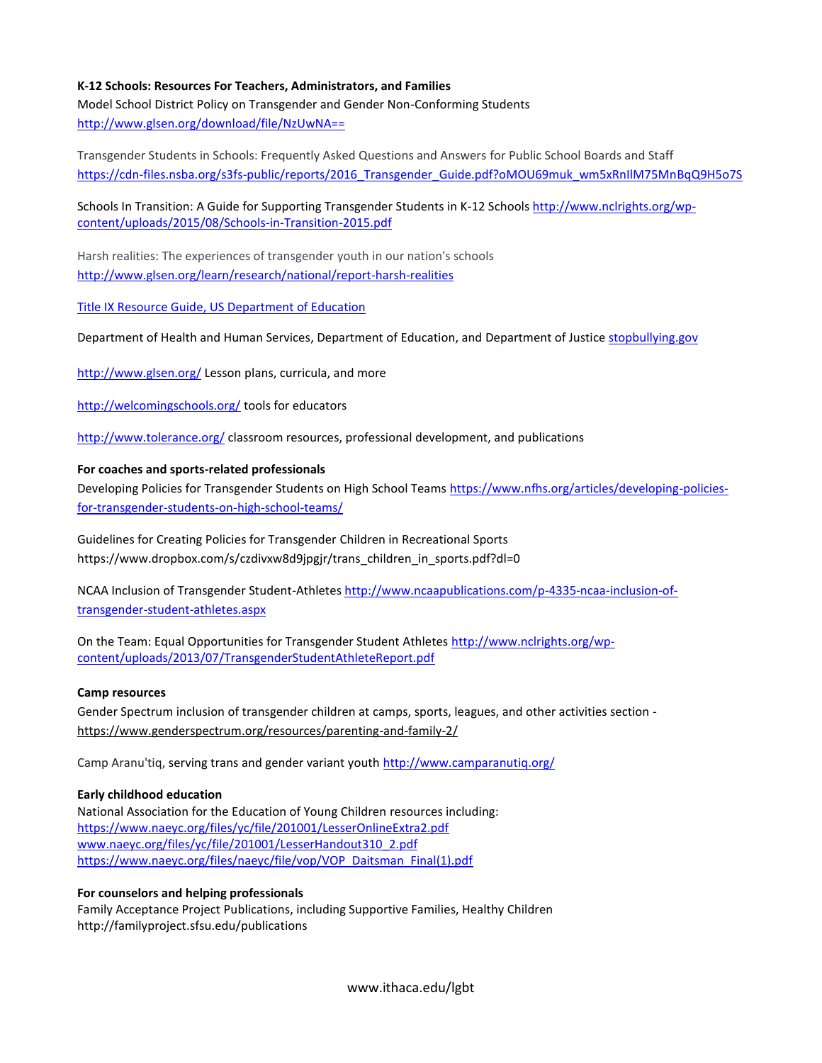# **K-12 Schools: Resources For Teachers, Administrators, and Families**

Model School District Policy on Transgender and Gender Non-Conforming Students <http://www.glsen.org/download/file/NzUwNA==>

Transgender Students in Schools: Frequently Asked Questions and Answers for Public School Boards and Staff [https://cdn-files.nsba.org/s3fs-public/reports/2016\\_Transgender\\_Guide.pdf?oMOU69muk\\_wm5xRnIlM75MnBqQ9H5o7S](https://cdn-files.nsba.org/s3fs-public/reports/2016_Transgender_Guide.pdf?oMOU69muk_wm5xRnIlM75MnBqQ9H5o7S)

# Schools In Transition: A Guide for Supporting Transgender Students in K-12 Schools [http://www.nclrights.org/wp](http://www.nclrights.org/wp-content/uploads/2015/08/Schools-in-Transition-2015.pdf)[content/uploads/2015/08/Schools-in-Transition-2015.pdf](http://www.nclrights.org/wp-content/uploads/2015/08/Schools-in-Transition-2015.pdf)

Harsh realities: The experiences of transgender youth in our nation's schools <http://www.glsen.org/learn/research/national/report-harsh-realities>

[Title IX Resource Guide,](http://www2.ed.gov/about/offices/list/ocr/docs/dcl-title-ix-coordinators-guide-201504.pdf) US Department of Education

Department of Health and Human Services, Department of Education, and Department of Justice [stopbullying.gov](http://www.stopbullying.gov/)

<http://www.glsen.org/> Lesson plans, curricula, and more

<http://welcomingschools.org/> tools for educators

<http://www.tolerance.org/> classroom resources, professional development, and publications

# **For coaches and sports-related professionals**

Developing Policies for Transgender Students on High School Teams [https://www.nfhs.org/articles/developing-policies](https://www.nfhs.org/articles/developing-policies-for-transgender-students-on-high-school-teams/)[for-transgender-students-on-high-school-teams/](https://www.nfhs.org/articles/developing-policies-for-transgender-students-on-high-school-teams/)

Guidelines for Creating Policies for Transgender Children in Recreational Sports https://www.dropbox.com/s/czdivxw8d9jpgjr/trans\_children\_in\_sports.pdf?dl=0

NCAA Inclusion of Transgender Student-Athletes [http://www.ncaapublications.com/p-4335-ncaa-inclusion-of](http://www.ncaapublications.com/p-4335-ncaa-inclusion-of-transgender-student-athletes.aspx)[transgender-student-athletes.aspx](http://www.ncaapublications.com/p-4335-ncaa-inclusion-of-transgender-student-athletes.aspx)

On the Team: Equal Opportunities for Transgender Student Athletes [http://www.nclrights.org/wp](http://www.nclrights.org/wp-content/uploads/2013/07/TransgenderStudentAthleteReport.pdf)[content/uploads/2013/07/TransgenderStudentAthleteReport.pdf](http://www.nclrights.org/wp-content/uploads/2013/07/TransgenderStudentAthleteReport.pdf)

## **Camp resources**

Gender Spectrum inclusion of transgender children at camps, sports, leagues, and other activities section <https://www.genderspectrum.org/resources/parenting-and-family-2/>

Camp Aranu'tiq, serving trans and gender variant youth<http://www.camparanutiq.org/>

## **Early childhood education**

National Association for the Education of Young Children resources including: <https://www.naeyc.org/files/yc/file/201001/LesserOnlineExtra2.pdf> [www.naeyc.org/files/yc/file/201001/LesserHandout310\\_2.pdf](file:///C:/Users/lmaurer/Dropbox/www.naeyc.org/files/yc/file/201001/LesserHandout310_2.pdf) [https://www.naeyc.org/files/naeyc/file/vop/VOP\\_Daitsman\\_Final\(1\).pdf](https://www.naeyc.org/files/naeyc/file/vop/VOP_Daitsman_Final(1).pdf)

## **For counselors and helping professionals**

Family Acceptance Project Publications, including Supportive Families, Healthy Children http://familyproject.sfsu.edu/publications

www.ithaca.edu/lgbt